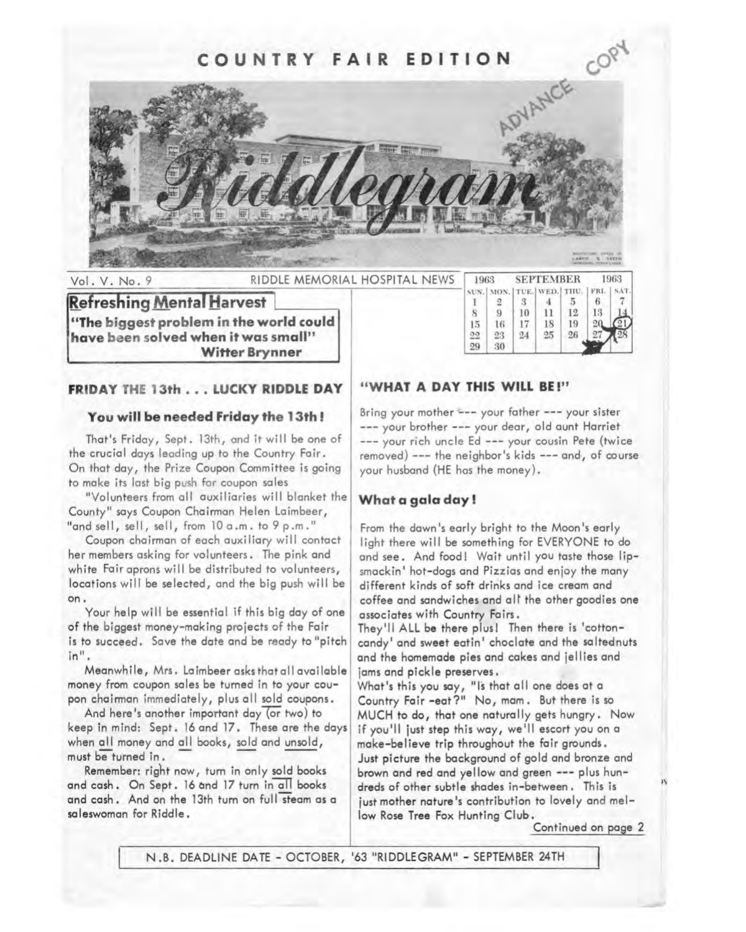

**Refreshing Mental Harvest "The biggest problem in the world could** have been solved when it was small" **Witter Brynner** 

| 1963. |                                | <b>SEPTEMBER</b> |    |    | 1963 |             |
|-------|--------------------------------|------------------|----|----|------|-------------|
|       | SUN. MON.   TUE.   WED.   THU. |                  |    |    |      | FRI.   SAT. |
|       |                                |                  |    |    |      |             |
|       |                                | 10               | 11 | 12 | 13   |             |
| 15    | 16                             | 17               | 18 | 19 |      |             |
| 99    |                                | 24               | 25 | 26 |      |             |
|       | 30                             |                  |    |    |      |             |

## **FRIDAY THE 13th . . . LUCKY RIDDLE DAY | "WHAT A DAY THIS WILL BE!"**

#### **You will be needed Friday the 13th** !

That's Friday, Sept. 13th, and it will be one of the crucial days leading up to the Country Fair. On that day, the Prize Coupon Committee is going to make its last big push for coupon sales

"Volunteers from all auxiliaries will blanket the County" says Coupon Chairman Helen Laimbeer, "and sell, sell, sell, from 10 a.m. to 9 p.m."

Coupon chairman of each auxiliary will contact her members asking for volunteers. The pink and white Fair aprons will be distributed to volunteers, locations will be selected, and the big push will be on.

Your help will be essential if this big day of one of the biggest money-making projects of the Fair is to succeed. Save the date and be ready to "pitch in".

Meanwhile, Mrs. Laimbeer asks that all available money from coupon sales be turned in to your coupon chairman immediately, plus all sold coupons.

And here's another important day (or two) to keep in mind: Sept. 16 and 17. These are the days when all money and all books, sold and unsold, must be turned in.

Remember: right now, turn in only sold books and cash. On Sept. 16 and 17 turn in all books and cash. And on the 13th turn on full steam as a **saleswoman for Riddle.** 

Bring your mother --- your father --- your sister --- your brother --- your dear, old aunt Harriet --- your rich uncle Ed --- your cousin Pete (twice removed) --- the neighbor's kids --- and, of course your husband (HE has the money).

#### **What a gala day!**

From the dawn's early bright to the Moon's early light there will be something for EVERYONE to do and see. And food! Wait until you taste those lipsmackin' hot-dogs and Pizzias and enjoy the many different kinds of soft drinks and ice cream and coffee and sandwiches and alt the other goodies one associates with Country Fairs.

They'll ALL be there plus! Then there is 'cottoncandy' and sweet eatin' choclate and the saltednuts and the homemade pies and cakes and jellies and jams and pickle preserves,

What's this you say, "Is that all one does at a Country Fair -eat?" No, mom. But there is so MUCH to do, that one naturally gets hungry. Now if you'll just step this way, we'll escort you on a make-believe trip throughout the fair grounds. Just picture the background of gold and bronze and brown and red and yellow and green --- plus hundreds of other subtle shades in-between. This is just mother nature's contribution to lovely and mellow Rose Tree Fox Hunting Club.

Continued on page 2

N .B. DEADLINE DATE - OCTOBER, '63 "RIDDLE GRAM" - SEPTEMBER 24TH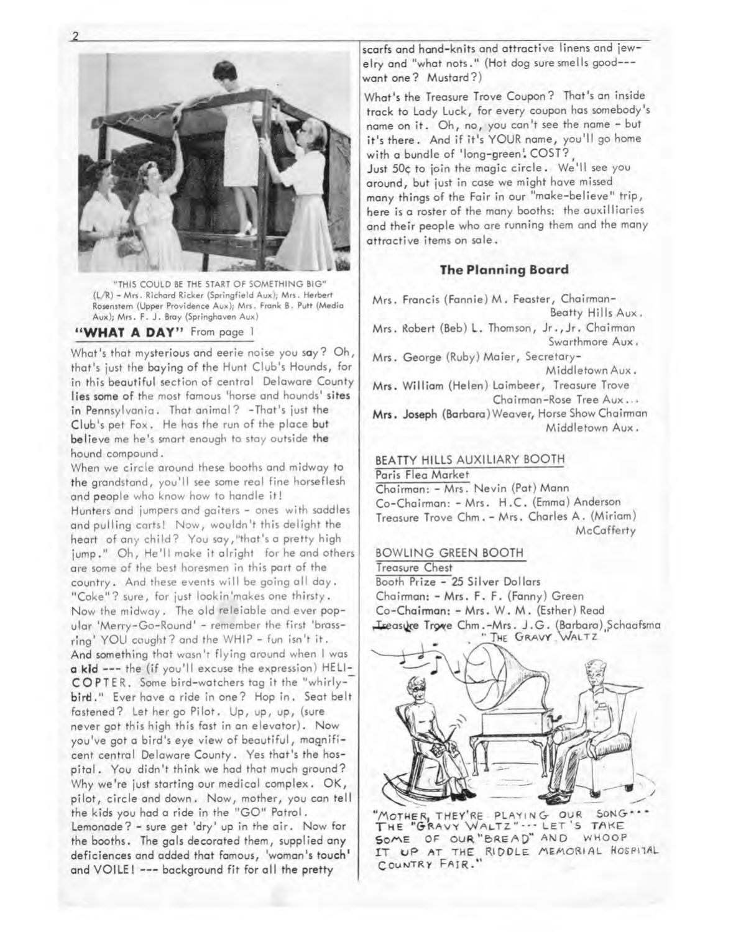

"THIS COULD BE THE START OF SOMETHING BIG" (L/R) - Mrs, Richard Ricker (Springfield Aux); Mrs. Herbert Rosenstern (Upper Providence Aux); Mrs. Frank B. Putt (Media Aux); Mrs. F, J. Bray (Springhaven Aux)

#### **"WHAT A DAY"** From page l

What's that mysterious and eerie noise you say? Oh, that's just the baying of the Hunt Club's Hounds, for in this beautiful section of central Delaware County lies some of the most famous 'horse and hounds' sites in Pennsylvania. That animal? - That's just the Club's pet Fox. He has the run of the place but believe me he's smart enough to stay outside the hound compound.

When we circle around these booths and midway to the grandstand, you'll see some real fine horseflesh and people who know how to handle it! Hunters and jumpers and gaiters - ones with saddles and pulling carts! Now, wouldn't this delight the heart of any child? You say,"that's a pretty high jump." Oh, He'll make it alright for he and others are some of the best horesmen in this part of the country. And these events will be going all day. "Coke"? sure, for just lookin'makes one thirsty. Now the midway. The old releiable and ever popular 'Merry-Go-Round' - remember the first 'brassring' YOU caught? and the WHIP - fun isn't it. And something that wasn't flying around when I was **a kid** --- the (if you'll excuse the expression) HELI-COPTER. Some bird-watchers tag it the "whirly- bird." Ever have a ride in one? Hop in. Seat belt fastened? Let her go Pilot. Up, up, up, (sure never got this high this fast in an elevator). Now you've got a bird's eye view of beautiful, magnificent central Delaware County. Yes that's the hospital. You didn't think we had that much ground? Why we're just starting our medical complex. OK, pilot, circle and down. Now, mother, you can tell the kids you had a ride in the "GO" Patrol. Lemonade? - sure get 'dry' up in the air. Now for the booths. The gals decorated them, supplied any deficiences and added that famous, 'woman's touch <sup>1</sup> and VOILE! --- background fit for all the pretty

scarfs and hand-knits and attractive linens and jewelry and "what nots." (Hot dog sure smells good--want one? Mustard?)

What's the Treasure Trove Coupon? That's an inside track to Lady Luck, for every coupon has somebody's name on it. Oh, no, you can't see the name - but it's there. And if it's YOUR name, you'll go home with a bundle of 'long-green' COST? Just 50¢ to join the magic circle. We'll see you around, but just in case we might have missed many things of the Fair in our "make-believe" trip, here is a roster of the many booths: the auxilliaries and their people who are running them and the many attractive items on sale.

#### **The Planning Board**

Mrs. Francis (Fannie) M. Feaster, Chairman-Beatty Hills Aux.

Mrs. Robert (Beb) L. Thomson, Jr., Jr. Chairman Swarthmore Aux.

Mrs. George (Ruby) Maier, Secretary-Middletown Aux.

Mrs. William (Helen) Laimbeer, Treasure Trove Chairman-Rose Tree Aux ...

**Mrs.** Joseph (Barbara) Weaver, Horse Show Chairman Middletown Aux.

#### BEATTY HILLS AUXILIARY BOOTH

Paris Flea Market Chairman: - Mrs. Nevin (Pat) Mann Co-Chairman: - Mrs. H. C. (Emma) Anderson Treasure Trove Chm. - Mrs. Charles A. (Miriam) **McCafferty** 

#### BOWLING GREEN BOOTH

Treasure Chest Booth Prize - 25 Silver Dollars Chairman: - Mrs. F. F. (Fanny) Green Co-Chairman: - Mrs. W. M. (Esther) Read Leeasure Trowe Chm.-Mrs. J.G. (Barbara), Schaafsma " THE GRAVY WALTZ



"MOTHER, THEY'RE PLAYING OUR SONG."<br>The "GRAVY WALTZ" ••• LET'S TAKE SOME OF OUR "BREAD" AND WHOOP IT UP AT THE RIDDLE MEMORIAL HOSPITAL COUNTRY FAIR.

2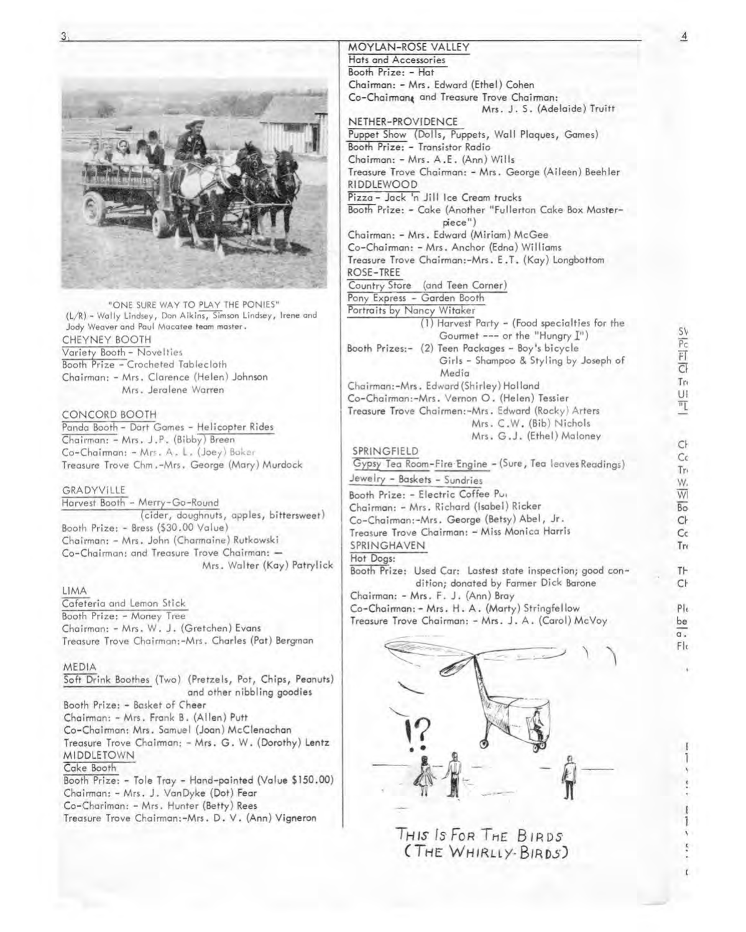

"ONE SURE WAY TO PLAY THE PONIES" (L/R) - Wally Lindsey, Don Aikins, Simson Lindsey, Irene and Jody Weaver and Paul Macatee team master. CHEYNEY BOOTH Variety Booth - Novelties Booth Prize - Crocheted Tablecloth Chairman: - Mrs. Clarence (Helen) Johnson Mrs. Jeralene Warren

#### CONCORD BOOTH

Panda Booth- Dart Games - Helicopter Rides Chairman: - Mrs. J.P. (Bibby) Breen Co-Chairman: - Mrs. A. L. (Joey) Boker Treasure Trove Chm. -Mrs. George (Mary) Murdock

#### GRADYVILLE

Harvest Booth - Merry-Go-Round (cider, doughnuts, apples, bittersweet) Booth Prize: - Bress (\$30.00 Value) Chairman: - Mrs. John (Charmaine) Rutkowski Co-Chairman: and Treasure Trove Chairman: -Mrs. Walter (Kay) Patrylick

#### LIMA

Cafeteria and Lemon Stick Booth Prize: - Money Tree Chairman: - Mrs. W. J. (Gretchen) Evans Treasure Trove Chairman:-Mrs. Charles (Pat) Bergman

#### MEDIA

Soft Drink Boothes (Two) (Pretzels, Pot, Chips, Peanuts) and other nibbling goodies Booth Prize: - Basket of Cheer Chairman: - Mrs. Frank B. (Allen) Putt Co-Chairman: Mrs. Samuel (Joan) McClenachan Treasure Trove Chairman: - Mrs. G. W. (Dorothy) Lentz MIDDLETOWN Cake Booth Booth Prize: - Tole Tray - Hand-painted (Value \$150.00) Chairman: - Mrs. J. VanDyke (Dot) Fear

Co-Chariman: - Mrs. Hunter (Betty) Rees

Treasure Trove Chairman:-Mrs. D. V. (Ann) Vigneron

### **MOYLAN-ROSE** VALLEY

Hats and Accessories Booth Prize: - Hat Chairman: - Mrs. Edward (Ethel) Cohen Co-Chairman& and Treasure Trove Chairman: Mrs. J. S. (Adelaide) Truitt NETHER-PROVIDENCE Puppet Show (Dolls, Puppets, Wall Plaques, Games) Booth Prize: - Transistor Radio Chairman: - Mrs. A.E. (Ann) Wills Treasure Trove Chairman: - Mrs. George (Aileen) Beehler RIDDLEW00D Pizza - Jack 'n Jill Ice Cream trucks Booth Prize: - Cake (Another "Fullerton Cake Box **Master**piece") Chairman: - Mrs. Edward (Miriam) McGee Co-Chairman: - Mrs. Anchor (Edna) Williams Treasure Trove Chairman:-Mrs. E.T. (Kay) Longbottom ROSE-TREE Country Store (and Teen Corner) Pony Express - Garden Booth Portraits by Nancy Witaker (l) Harvest Party - (Food specialties for the Gourmet --- or the "Hungry  $I<sup>n</sup>$ ) Booth Prizes:- (2) Teen Packages - Boy's bicycle Girls - Shampoo & Styling by Joseph of Media Chairman:-Mrs. Edward (Shirley) Holland Co-Chairman:-Mrs. Vernon 0. (Helen) Tessier Treasure Trove Chairmen:-Mrs. Edward (Rocky) Arters Mrs. C.W. (Bib) Nichols Mrs. G.J. (Ethel) Maloney SPRINGFIELD Gypsy Tea Room-Fire Engine - (Sure, Tea leaves Readings) Jewelry - Baskets - Sundries Booth Prize: - Electric Coffee Pur Chairman: - Mrs. Richard (Isabel) Ricker Co-Chairman:-Mrs. George (Betsy) Abel, Jr. Treasure Trove Chairman: - Miss Monica Harris SPRINGHAVEN Hot Dogs: Booth Prize: Used Car: Lastest state inspection; good condition; donated by Farmer Dick Barone Chairman: - Mrs. F. J. (Ann) Bray Co-Chairman: - Mrs. H. A. (Marty) Stringfellow

Treasure Trove Chairman: - Mrs. J. A. (Carol) McVoy



THIS Is FoR TH£ B /RDS ( **THE** WH/RLLY· BIROS) S'v

 $\overline{4}$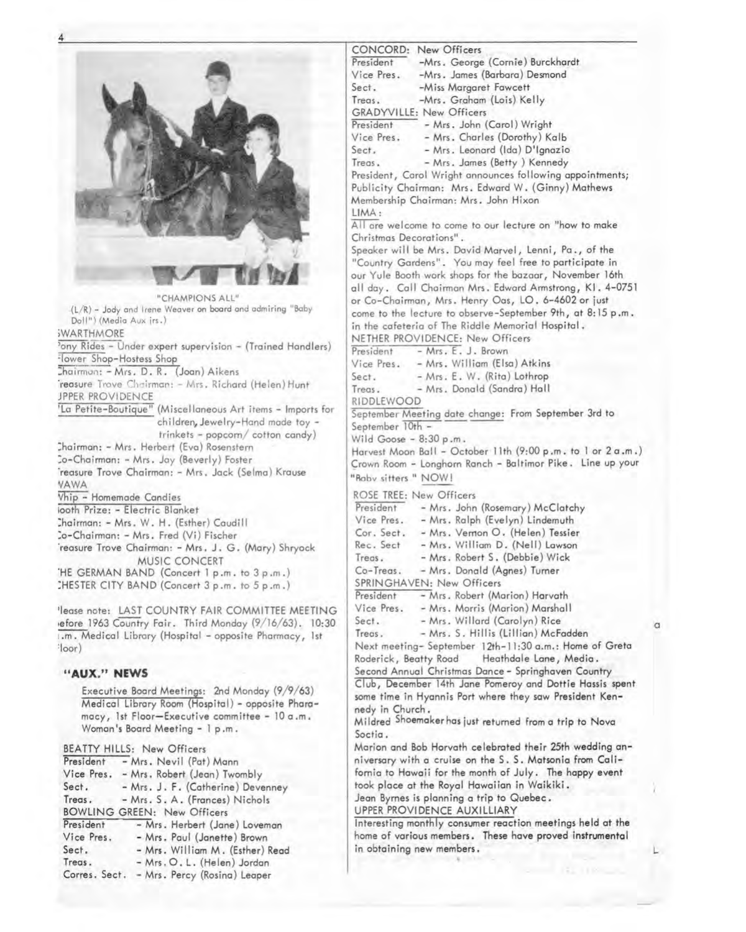|                                                             | CONCORD: New Officers                                              |   |
|-------------------------------------------------------------|--------------------------------------------------------------------|---|
|                                                             | President<br>-Mrs. George (Cornie) Burckhardt                      |   |
|                                                             | Vice Pres.<br>-Mrs. James (Barbara) Desmond                        |   |
|                                                             | Sect.<br>-Miss Margaret Fawcett                                    |   |
|                                                             | -Mrs. Graham (Lois) Kelly<br>Treas.                                |   |
|                                                             | <b>GRADYVILLE: New Officers</b>                                    |   |
|                                                             | President - Mrs. John (Carol) Wright                               |   |
|                                                             | - Mrs. Charles (Dorothy) Kalb                                      |   |
|                                                             | Vice Pres.                                                         |   |
|                                                             | Sect.<br>- Mrs. Leonard (Ida) D'Ignazio                            |   |
|                                                             | - Mrs. James (Betty) Kennedy<br>Treas.                             |   |
|                                                             | President, Carol Wright announces following appointments;          |   |
|                                                             | Publicity Chairman: Mrs. Edward W. (Ginny) Mathews                 |   |
|                                                             | Membership Chairman: Mrs. John Hixon                               |   |
|                                                             | LIMA:                                                              |   |
|                                                             | All are welcome to come to our lecture on "how to make             |   |
|                                                             | Christmas Decorations".                                            |   |
|                                                             | Speaker will be Mrs. David Marvel, Lenni, Pa., of the              |   |
|                                                             | "Country Gardens". You may feel free to participate in             |   |
|                                                             | our Yule Booth work shops for the bazaar, November 16th            |   |
|                                                             |                                                                    |   |
| "CHAMPIONS ALL"                                             | all day. Call Chairman Mrs. Edward Armstrong, K1. 4-0751           |   |
| (L/R) - Jody and Irene Weaver on board and admiring "Baby   | or Co-Chairman, Mrs. Henry Oas, LO. 6-4602 or just                 |   |
| Doll") (Media Aux jrs.)                                     | come to the lecture to observe-September 9th, at 8:15 p.m.         |   |
| <b>SWARTHMORE</b>                                           | in the cafeteria of The Riddle Memorial Hospital.                  |   |
|                                                             | NETHER PROVIDENCE: New Officers                                    |   |
| ony Rides - Under expert supervision - (Trained Handlers)   | - Mrs. E. J. Brown<br>President                                    |   |
| Flower Shop-Hostess Shop                                    | Vice Pres. - Mrs. William (Elsa) Atkins                            |   |
| Chairman: - Mrs. D. R. (Joan) Aikens                        | - Mrs. E. W. (Rita) Lothrop<br>Sect.                               |   |
| reasure Trove Chairman: - Mrs. Richard (Helen) Hunt         | - Mrs. Donald (Sandra) Hall<br>Treas.                              |   |
| JPPER PROVIDENCE                                            | RIDDLEWOOD                                                         |   |
| 'La Petite-Boutique" (Miscellaneous Art items - Imports for | September Meeting date change: From September 3rd to               |   |
| children, Jewelry-Hand made toy -                           | September 10th -                                                   |   |
| $trinkets$ - popcorn/ cotton candy)                         |                                                                    |   |
| Chairman: - Mrs. Herbert (Eva) Rosenstern                   | Wild Goose $-8:30 p.m.$                                            |   |
| Co-Chairman: - Mrs. Jay (Beverly) Foster                    | Harvest Moon Ball - October 11th (9:00 p.m. to 1 or 2 a.m.)        |   |
| reasure Trove Chairman: - Mrs. Jack (Selma) Krause          | Crown Room - Longhorn Ranch - Baltimor Pike. Line up your          |   |
| VAWA                                                        | "Raby sitters " NOW!                                               |   |
| Vhip - Homemade Candies                                     | ROSE TREE: New Officers                                            |   |
|                                                             | - Mrs. John (Rosemary) McClatchy<br>President                      |   |
| iooth Prize: - Electric Blanket                             | Vice Pres.<br>- Mrs. Ralph (Evelyn) Lindemuth                      |   |
| Chairman: - Mrs. W. H. (Esther) Caudill                     | Cor. Sect.                                                         |   |
| Co-Chairman: - Mrs. Fred (Vi) Fischer                       | - Mrs. Vernon O. (Helen) Tessier                                   |   |
| reasure Trove Chairman: - Mrs. J. G. (Mary) Shryock         | Rec. Sect<br>- Mrs. William D. (Nell) Lawson                       |   |
| MUSIC CONCERT                                               | - Mrs. Robert S. (Debbie) Wick<br>Treas.                           |   |
| 'HE GERMAN BAND (Concert 1 p.m. to 3 p.m.)                  | Co-Treas.<br>- Mrs. Donald (Agnes) Turner                          |   |
| CHESTER CITY BAND (Concert 3 p.m. to 5 p.m.)                | SPRINGHAVEN: New Officers                                          |   |
|                                                             | President<br>- Mrs. Robert (Marion) Harvath                        |   |
| 'lease note: LAST COUNTRY FAIR COMMITTEE MEETING            | Vice Pres.<br>- Mrs. Morris (Marion) Marshall                      |   |
| efore 1963 Country Fair. Third Monday (9/16/63). 10:30      | - Mrs. Willard (Carolyn) Rice<br>Sect.                             | a |
| .m. Medical Library (Hospital - opposite Pharmacy, 1st      | - Mrs. S. Hillis (Lillian) McFadden<br>Treas.                      |   |
| $\cdot$ loor)                                               | Next meeting- September 12th-11:30 a.m.: Home of Greta             |   |
|                                                             | Roderick, Beatty Road<br>Heathdale Lane, Media.                    |   |
|                                                             | Second Annual Christmas Dance - Springhaven Country                |   |
| "AUX." NEWS                                                 | Club, December 14th Jane Pomeroy and Dottie Hassis spent           |   |
| Executive Board Meetings: 2nd Monday (9/9/63)               |                                                                    |   |
| Medical Library Room (Hospital) - opposite Phara-           | some time in Hyannis Port where they saw President Ken-            |   |
| macy, 1st Floor-Executive committee - 10 a.m.               | nedy in Church.                                                    |   |
| Woman's Board Meeting - 1 p.m.                              | Mildred <sup>Shoemaker has just returned from a trip to Nova</sup> |   |
|                                                             | Soctia.                                                            |   |
| <b>BEATTY HILLS: New Officers</b>                           | Marion and Bob Horvath celebrated their 25th wedding an-           |   |
| - Mrs. Nevil (Pat) Mann<br>President                        | niversary with a cruise on the S.S. Matsonia from Cali-            |   |
| Vice Pres.<br>- Mrs. Robert (Jean) Twombly                  | fornia to Hawaii for the month of July. The happy event            |   |
| Sect.<br>- Mrs. J. F. (Catherine) Devenney                  | took place at the Royal Hawaiian in Waikiki.                       |   |
| Treas.<br>- Mrs. S. A. (Frances) Nichols                    | Jean Byrnes is planning a trip to Quebec.                          |   |
| <b>BOWLING GREEN: New Officers</b>                          | UPPER PROVIDENCE AUXILLIARY                                        |   |
|                                                             | Interesting monthly consumer reaction meetings held at the         |   |
| President<br>- Mrs. Herbert (Jane) Loveman                  |                                                                    |   |
| - Mrs. Paul (Janette) Brown<br>Vice Pres.                   | home of various members. These have proved instrumental            |   |
| Sect.<br>- Mrs. William M. (Esther) Read                    | in obtaining new members.                                          |   |
| Treas.<br>- Mrs. O. L. (Helen) Jordan                       |                                                                    |   |
| Corres. Sect. - Mrs. Percy (Rosina) Leaper                  |                                                                    |   |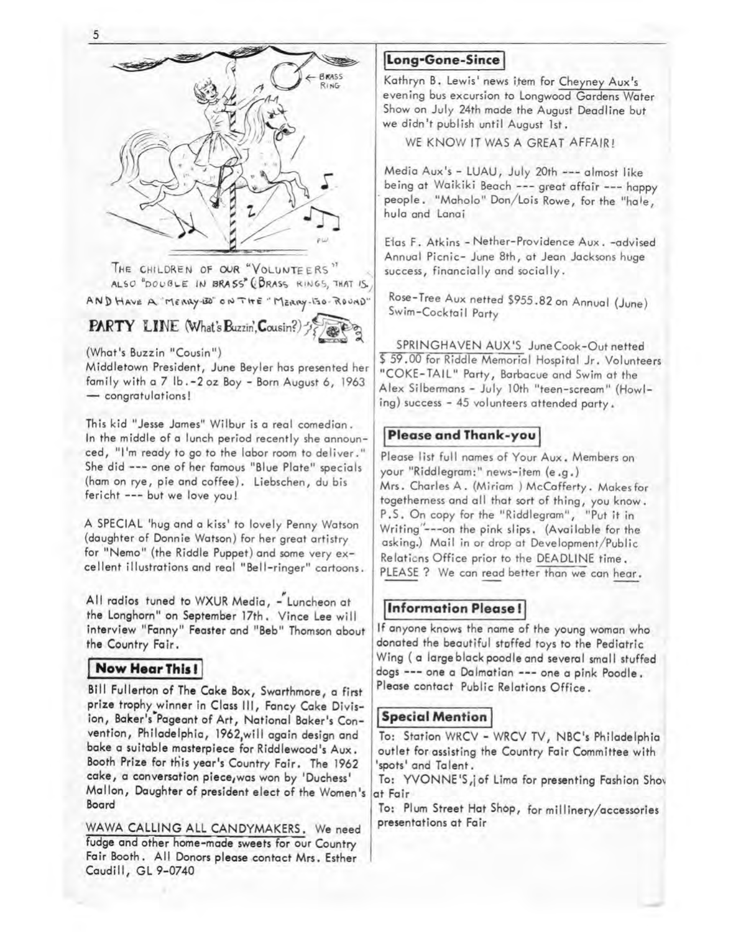

THE CHILDREN OF OUR "VOLUNTEERS" ALSO "DOUBLE IN BRASS" (BRASS RINGS, THAT IS. AND HAVE A. MERRY-BO" ON THE "MERRY-150-ROUND"

**FARTY LINE** (What's Buzzin', Cousin?)



(What's Buzzin "Cousin")

Middletown President, June Beyler has presented her family with a 7 lb. -2 oz Boy - Born August 6, 1963 - congratulations!

This kid "Jesse James" Wilbur is a real comedian. In the middle of a lunch period recently she announced, "I'm ready to go to the labor room to deliver." She did --- one of her famous "Blue Plate" specials (ham on rye, pie and coffee). Liebschen, du bis fericht --- but we love you!

A SPECIAL 'hug and a kiss' to lovely Penny Watson (daughter of Donnie Watson) for her great artistry for "Nemo" (the Riddle Puppet) and some very excellent illustrations and real "Bell-ringer" cartoons.

All radios tuned to WXUR Media, - Luncheon at the Longhorn" on September 17th. Vince Lee will interview "Fanny" Feaster and "Beb" Thomson about the Country Fair.

## **Now Hear This !**

Bill Fullerton of The Cake Box, Swarthmore, a first prize trophy winner in Class Ill, Fancy Cake Division, Baker's Pageant of Art, National Baker's Convention, Philadelphia, 1962,will again design and bake a suitable masterpiece for Riddlewood's Aux. Booth Prize for this year's Country Fair. The 1962 cake, a conversation piece,was won by 'Duchess' Mallon, Daughter of president elect of the Women's Board

WAWA CALLING ALL CANDYMAKERS. We need fudge and other home-made sweets for our Country Fair Booth. All Donors please contact Mrs. Esther Caudill, GL 9-0740

# **Long-Gone-Since**

Kathryn B. Lewis' news item for Cheyney Aux's evening bus excursion to Longwood Gardens Water Show on July 24th made the August Deadline but we didn't publish until August 1st.

WE KNOW IT WAS A GREAT AFFAIR!

Media Aux's - LUAU, July 20th --- almost like being at Waikiki Beach --- great affair --- happy people. "Maholo" Don/Lois Rowe, for the "hale, hula and Lanai

Efos F. Atkins - Nether-Providence Aux. -advised Annual Picnic- June 8th, at Jean Jacksons huge success, financially and socially.

Rose-Tree Aux netted \$955.82 on Annual (June) Swim-Cocktail Party

SPRINGHAVEN AUX'S June Cook-Out netted \$59.00 for Riddle Memorial Hospital Jr. Volunteers "COKE-TAIL" Party, Barbecue and Swim at the Alex Silbermans - July 10th "teen-scream" (Howling) success - 45 volunteers attended party.

## **Please and Thank-you**

Please list full names of Your Aux. Members on your "Riddlegram:" news-item (e.g.) Mrs. Charles A. (Miriam ) McCafferty. Makes for togetherness and all that sort of thing, you know. P ,S. On copy for the "Riddlegram", "Put it in Writing"---on the pink slips. (Available for the asking.) Mail in or drop at Development/Public Relaticns Office prior to the DEADLINE time. PLEASE ? We can read better than we can hear.

# **Information Please!**

If anyone knows the name of the young woman who donated the beautiful stoffed toys to the Pediatric Wing (a large black poodle and several small stuffed dogs --- one a Dalmatian --- one a pink Poodle. Please contact Public Relations Office.

## **Special Mention**

To: Station WRCV - WRCV TV, NBC's Philadelphia outlet for assisting the Country Fair Committee with 'spots' and Talent.

To: YVONNE'S,jof Lima for presenting Fashion Sho~ at Fair

To: Plum Street Hat Shop, for millinery/accessories presentations at Fair